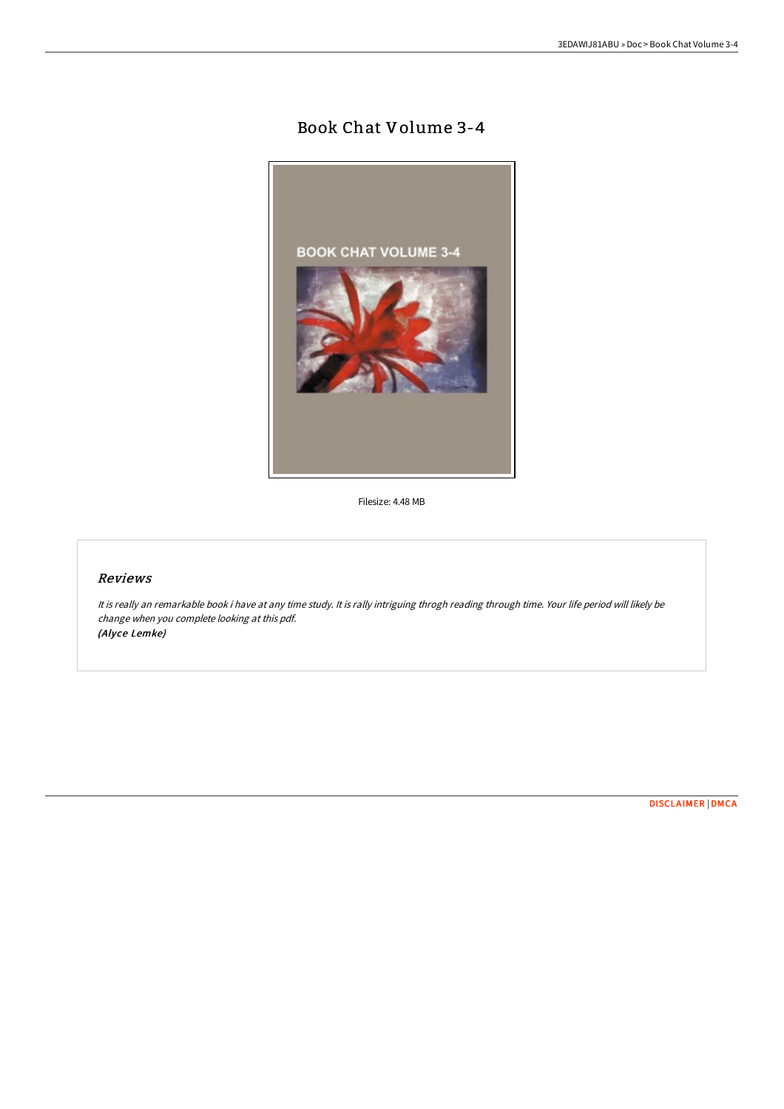## Book Chat Volume 3-4



Filesize: 4.48 MB

## Reviews

It is really an remarkable book i have at any time study. It is rally intriguing throgh reading through time. Your life period will likely be change when you complete looking at this pdf. (Alyce Lemke)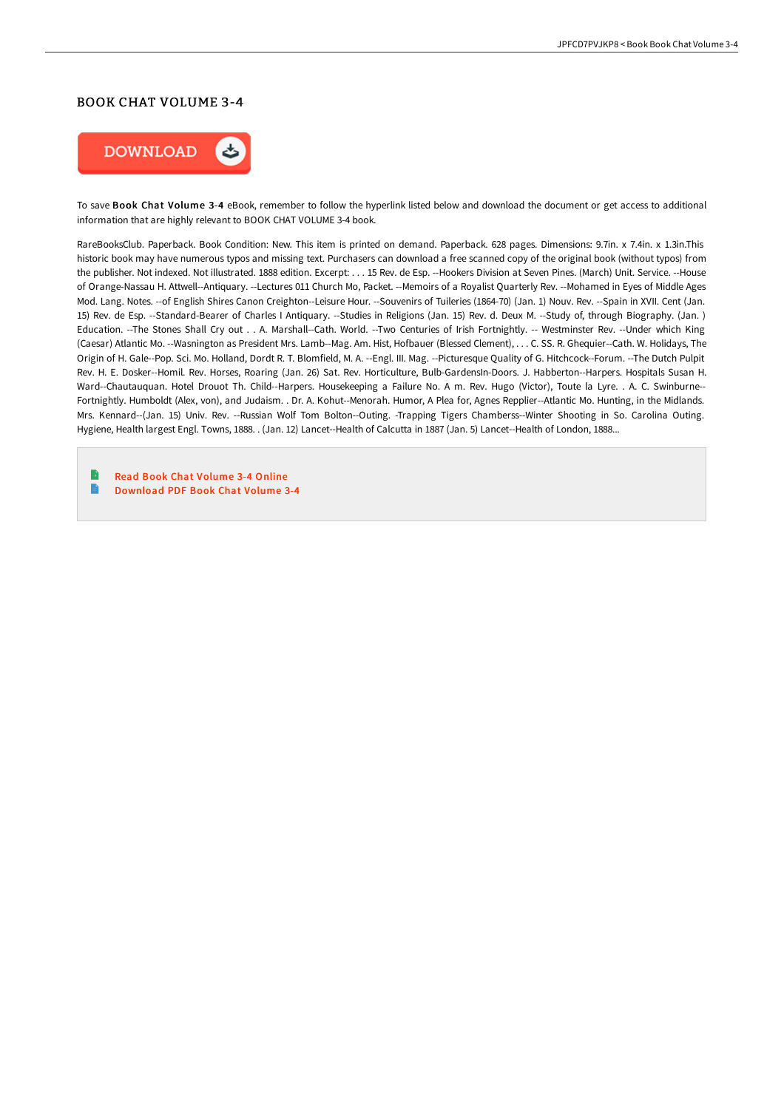## BOOK CHAT VOLUME 3-4



To save Book Chat Volume 3-4 eBook, remember to follow the hyperlink listed below and download the document or get access to additional information that are highly relevant to BOOK CHAT VOLUME 3-4 book.

RareBooksClub. Paperback. Book Condition: New. This item is printed on demand. Paperback. 628 pages. Dimensions: 9.7in. x 7.4in. x 1.3in.This historic book may have numerous typos and missing text. Purchasers can download a free scanned copy of the original book (without typos) from the publisher. Not indexed. Not illustrated. 1888 edition. Excerpt: . . . 15 Rev. de Esp. --Hookers Division at Seven Pines. (March) Unit. Service. --House of Orange-Nassau H. Attwell--Antiquary. --Lectures 011 Church Mo, Packet. --Memoirs of a Royalist Quarterly Rev. --Mohamed in Eyes of Middle Ages Mod. Lang. Notes. --of English Shires Canon Creighton--Leisure Hour. --Souvenirs of Tuileries (1864-70) (Jan. 1) Nouv. Rev. --Spain in XVII. Cent (Jan. 15) Rev. de Esp. --Standard-Bearer of Charles I Antiquary. --Studies in Religions (Jan. 15) Rev. d. Deux M. --Study of, through Biography. (Jan. ) Education. --The Stones Shall Cry out . . A. Marshall--Cath. World. --Two Centuries of Irish Fortnightly. -- Westminster Rev. --Under which King (Caesar) Atlantic Mo. --Wasnington as President Mrs. Lamb--Mag. Am. Hist, Hofbauer (Blessed Clement), . . . C. SS. R. Ghequier--Cath. W. Holidays, The Origin of H. Gale--Pop. Sci. Mo. Holland, Dordt R. T. Blomfield, M. A. --Engl. III. Mag. --Picturesque Quality of G. Hitchcock--Forum. --The Dutch Pulpit Rev. H. E. Dosker--Homil. Rev. Horses, Roaring (Jan. 26) Sat. Rev. Horticulture, Bulb-GardensIn-Doors. J. Habberton--Harpers. Hospitals Susan H. Ward--Chautauquan. Hotel Drouot Th. Child--Harpers. Housekeeping a Failure No. A m. Rev. Hugo (Victor), Toute la Lyre. . A. C. Swinburne-- Fortnightly. Humboldt (Alex, von), and Judaism. . Dr. A. Kohut--Menorah. Humor, A Plea for, Agnes Repplier--Atlantic Mo. Hunting, in the Midlands. Mrs. Kennard--(Jan. 15) Univ. Rev. --Russian Wolf Tom Bolton--Outing. -Trapping Tigers Chamberss--Winter Shooting in So. Carolina Outing. Hygiene, Health largest Engl. Towns, 1888. . (Jan. 12) Lancet--Health of Calcutta in 1887 (Jan. 5) Lancet--Health of London, 1888...

B Read Book Chat [Volume](http://albedo.media/book-chat-volume-3-4.html) 3-4 Online  $\blacksquare$ [Download](http://albedo.media/book-chat-volume-3-4.html) PDF Book Chat Volume 3-4